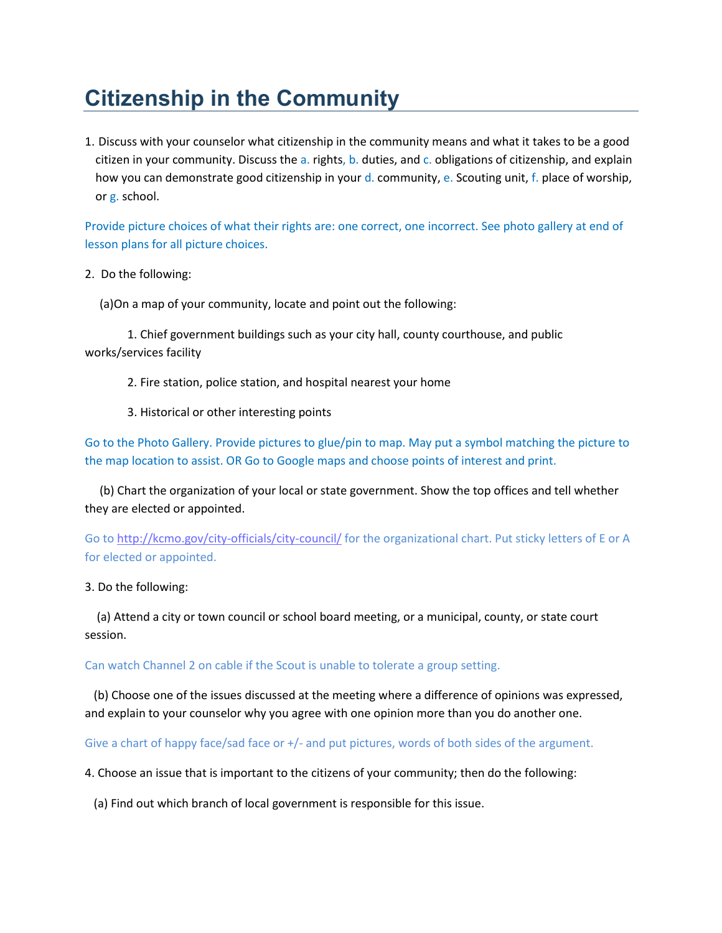## **Citizenship in the Community**

1. Discuss with your counselor what citizenship in the community means and what it takes to be a good citizen in your community. Discuss the a. rights, b. duties, and c. obligations of citizenship, and explain how you can demonstrate good citizenship in your d. community, e. Scouting unit, f. place of worship, or g. school.

Provide picture choices of what their rights are: one correct, one incorrect. See photo gallery at end of lesson plans for all picture choices.

2. Do the following:

(a)On a map of your community, locate and point out the following:

1. Chief government buildings such as your city hall, county courthouse, and public works/services facility

- 2. Fire station, police station, and hospital nearest your home
- 3. Historical or other interesting points

Go to the Photo Gallery. Provide pictures to glue/pin to map. May put a symbol matching the picture to the map location to assist. OR Go to Google maps and choose points of interest and print.

 (b) Chart the organization of your local or state government. Show the top offices and tell whether they are elected or appointed.

Go to<http://kcmo.gov/city-officials/city-council/> for the organizational chart. Put sticky letters of E or A for elected or appointed.

3. Do the following:

 (a) Attend a city or town council or school board meeting, or a municipal, county, or state court session.

## Can watch Channel 2 on cable if the Scout is unable to tolerate a group setting.

 (b) Choose one of the issues discussed at the meeting where a difference of opinions was expressed, and explain to your counselor why you agree with one opinion more than you do another one.

Give a chart of happy face/sad face or +/- and put pictures, words of both sides of the argument.

4. Choose an issue that is important to the citizens of your community; then do the following:

(a) Find out which branch of local government is responsible for this issue.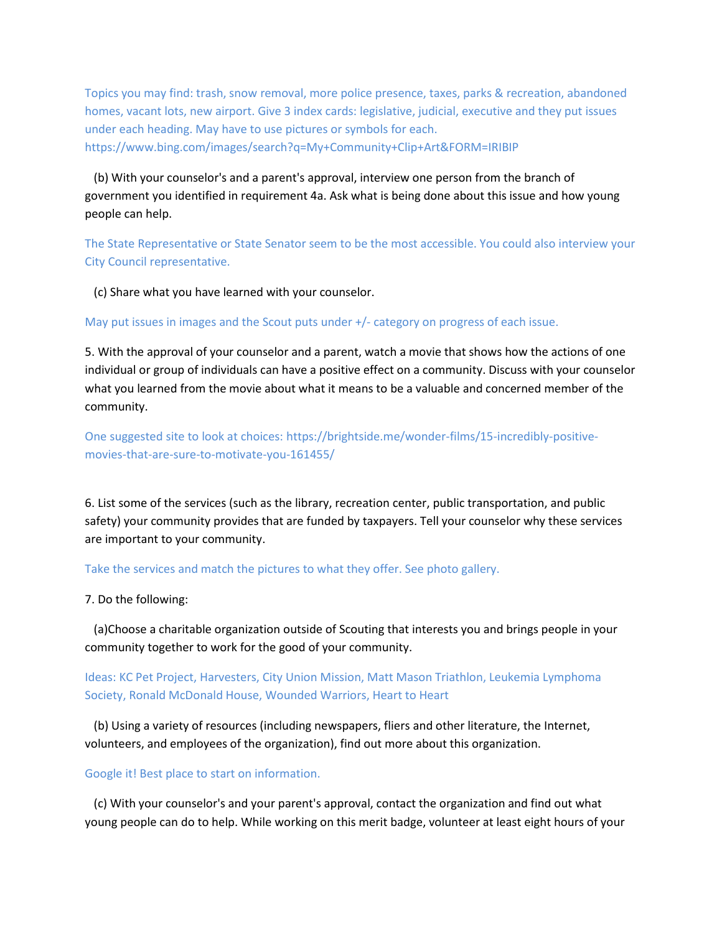Topics you may find: trash, snow removal, more police presence, taxes, parks & recreation, abandoned homes, vacant lots, new airport. Give 3 index cards: legislative, judicial, executive and they put issues under each heading. May have to use pictures or symbols for each. https://www.bing.com/images/search?q=My+Community+Clip+Art&FORM=IRIBIP

 (b) With your counselor's and a parent's approval, interview one person from the branch of government you identified in requirement 4a. Ask what is being done about this issue and how young people can help.

The State Representative or State Senator seem to be the most accessible. You could also interview your City Council representative.

(c) Share what you have learned with your counselor.

May put issues in images and the Scout puts under +/- category on progress of each issue.

5. With the approval of your counselor and a parent, watch a movie that shows how the actions of one individual or group of individuals can have a positive effect on a community. Discuss with your counselor what you learned from the movie about what it means to be a valuable and concerned member of the community.

One suggested site to look at choices: https://brightside.me/wonder-films/15-incredibly-positivemovies-that-are-sure-to-motivate-you-161455/

6. List some of the services (such as the library, recreation center, public transportation, and public safety) your community provides that are funded by taxpayers. Tell your counselor why these services are important to your community.

Take the services and match the pictures to what they offer. See photo gallery.

7. Do the following:

 (a)Choose a charitable organization outside of Scouting that interests you and brings people in your community together to work for the good of your community.

Ideas: KC Pet Project, Harvesters, City Union Mission, Matt Mason Triathlon, Leukemia Lymphoma Society, Ronald McDonald House, Wounded Warriors, Heart to Heart

 (b) Using a variety of resources (including newspapers, fliers and other literature, the Internet, volunteers, and employees of the organization), find out more about this organization.

## Google it! Best place to start on information.

 (c) With your counselor's and your parent's approval, contact the organization and find out what young people can do to help. While working on this merit badge, volunteer at least eight hours of your